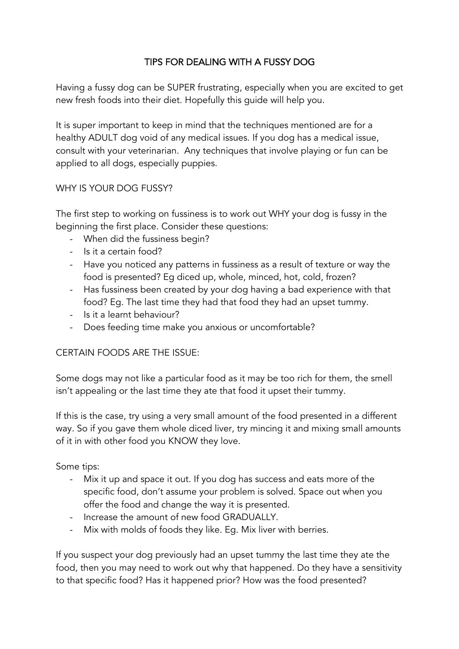# TIPS FOR DEALING WITH A FUSSY DOG

Having a fussy dog can be SUPER frustrating, especially when you are excited to get new fresh foods into their diet. Hopefully this guide will help you.

It is super important to keep in mind that the techniques mentioned are for a healthy ADULT dog void of any medical issues. If you dog has a medical issue, consult with your veterinarian. Any techniques that involve playing or fun can be applied to all dogs, especially puppies.

### WHY IS YOUR DOG FUSSY?

The first step to working on fussiness is to work out WHY your dog is fussy in the beginning the first place. Consider these questions:

- When did the fussiness begin?
- Is it a certain food?
- Have you noticed any patterns in fussiness as a result of texture or way the food is presented? Eg diced up, whole, minced, hot, cold, frozen?
- Has fussiness been created by your dog having a bad experience with that food? Eg. The last time they had that food they had an upset tummy.
- Is it a learnt behaviour?
- Does feeding time make you anxious or uncomfortable?

### CERTAIN FOODS ARE THE ISSUE:

Some dogs may not like a particular food as it may be too rich for them, the smell isn't appealing or the last time they ate that food it upset their tummy.

If this is the case, try using a very small amount of the food presented in a different way. So if you gave them whole diced liver, try mincing it and mixing small amounts of it in with other food you KNOW they love.

Some tips:

- Mix it up and space it out. If you dog has success and eats more of the specific food, don't assume your problem is solved. Space out when you offer the food and change the way it is presented.
- Increase the amount of new food GRADUALLY.
- Mix with molds of foods they like. Eg. Mix liver with berries.

If you suspect your dog previously had an upset tummy the last time they ate the food, then you may need to work out why that happened. Do they have a sensitivity to that specific food? Has it happened prior? How was the food presented?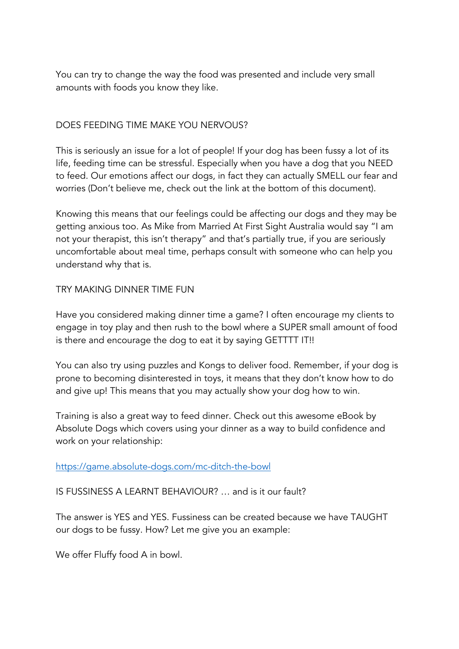You can try to change the way the food was presented and include very small amounts with foods you know they like.

## DOES FEEDING TIME MAKE YOU NERVOUS?

This is seriously an issue for a lot of people! If your dog has been fussy a lot of its life, feeding time can be stressful. Especially when you have a dog that you NEED to feed. Our emotions affect our dogs, in fact they can actually SMELL our fear and worries (Don't believe me, check out the link at the bottom of this document).

Knowing this means that our feelings could be affecting our dogs and they may be getting anxious too. As Mike from Married At First Sight Australia would say "I am not your therapist, this isn't therapy" and that's partially true, if you are seriously uncomfortable about meal time, perhaps consult with someone who can help you understand why that is.

### TRY MAKING DINNER TIME FUN

Have you considered making dinner time a game? I often encourage my clients to engage in toy play and then rush to the bowl where a SUPER small amount of food is there and encourage the dog to eat it by saying GETTTT IT!!

You can also try using puzzles and Kongs to deliver food. Remember, if your dog is prone to becoming disinterested in toys, it means that they don't know how to do and give up! This means that you may actually show your dog how to win.

Training is also a great way to feed dinner. Check out this awesome eBook by Absolute Dogs which covers using your dinner as a way to build confidence and work on your relationship:

### https://game.absolute-dogs.com/mc-ditch-the-bowl

IS FUSSINESS A LEARNT BEHAVIOUR? … and is it our fault?

The answer is YES and YES. Fussiness can be created because we have TAUGHT our dogs to be fussy. How? Let me give you an example:

We offer Fluffy food A in bowl.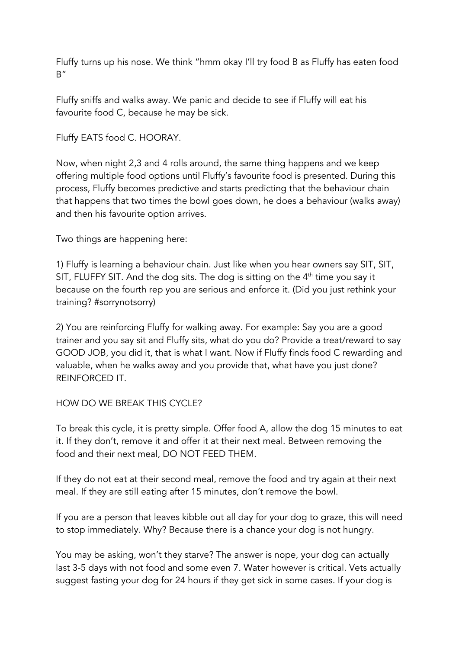Fluffy turns up his nose. We think "hmm okay I'll try food B as Fluffy has eaten food  $B''$ 

Fluffy sniffs and walks away. We panic and decide to see if Fluffy will eat his favourite food C, because he may be sick.

Fluffy EATS food C. HOORAY.

Now, when night 2,3 and 4 rolls around, the same thing happens and we keep offering multiple food options until Fluffy's favourite food is presented. During this process, Fluffy becomes predictive and starts predicting that the behaviour chain that happens that two times the bowl goes down, he does a behaviour (walks away) and then his favourite option arrives.

Two things are happening here:

1) Fluffy is learning a behaviour chain. Just like when you hear owners say SIT, SIT, SIT, FLUFFY SIT. And the dog sits. The dog is sitting on the  $4<sup>th</sup>$  time you say it because on the fourth rep you are serious and enforce it. (Did you just rethink your training? #sorrynotsorry)

2) You are reinforcing Fluffy for walking away. For example: Say you are a good trainer and you say sit and Fluffy sits, what do you do? Provide a treat/reward to say GOOD JOB, you did it, that is what I want. Now if Fluffy finds food C rewarding and valuable, when he walks away and you provide that, what have you just done? REINFORCED IT.

### HOW DO WE BREAK THIS CYCLE?

To break this cycle, it is pretty simple. Offer food A, allow the dog 15 minutes to eat it. If they don't, remove it and offer it at their next meal. Between removing the food and their next meal, DO NOT FEED THEM.

If they do not eat at their second meal, remove the food and try again at their next meal. If they are still eating after 15 minutes, don't remove the bowl.

If you are a person that leaves kibble out all day for your dog to graze, this will need to stop immediately. Why? Because there is a chance your dog is not hungry.

You may be asking, won't they starve? The answer is nope, your dog can actually last 3-5 days with not food and some even 7. Water however is critical. Vets actually suggest fasting your dog for 24 hours if they get sick in some cases. If your dog is